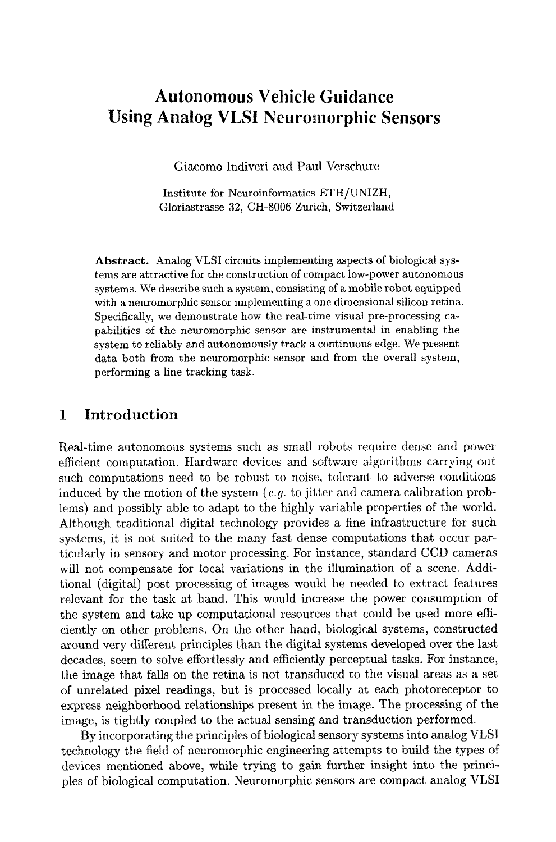# **Autonomous Vehicle Guidance Using Analog VLSI Neuromorphic Sensors**

Giacomo Indiveri and Paul Verschure

**Institute** for Neuroinformatics ETH/UNIZH, Gloriastrasse 32, CH-8006 Zurich, Switzerland

Abstract. Analog VLSI circuits implementing aspects of biological systems are attractive for the construction of compact low-power autonomous systems. We describe such a system, consisting of a mobile robot equipped with a neuromorphic sensor implementing a one dimensional silicon retina. Specifically, we demonstrate how the real-time visual pre-processing capabilities of the neuromorphic sensor axe instrumental in enabling **the**  system to reliably and autonomously track a continuous edge. We present data both from the neuromorphic sensor and from the overall system, performing a line tracking task.

### **1 Introduction**

Real-time autonomous systems such as small robots require dense and power efficient computation. Hardware devices and software algorithms carrying out such computations need to be robust to noise, tolerant to adverse conditions induced by the motion of the system *(e.g.* to jitter and camera calibration problems) and possibly able to adapt to the highly variable properties of the world. Although traditional digital technology provides a fine infrastructure for such systems, it is not suited to the many fast dense computations that occur particularly in sensory and motor processing. For instance, standard CCD cameras will not compensate for local variations in the illumination of a scene. Additional (digital) post processing of images would be needed to extract features relevant for the task at hand. This would increase the power consumption of the system and take up computational resources that could be used more efficiently on other problems. On the other hand, biological systems, constructed around very different principles than the digital systems developed over the last decades, seem to solve effortlessly and efficiently perceptual tasks. For instance, the image that falls on the retina is not transduced to the visual areas as a set of unrelated pixel readings, but is processed locally at each photoreceptor to express neighborhood relationships present in the image. The processing of the image, is tightly coupled to the actual sensing and transduction performed.

By incorporating the principles of biological sensory systems into analog VLSI technology the field of neuromorphic engineering attempts to build the types of devices mentioned above, while trying to gain further insight into the principles of biological computation. Neuromorphic sensors are compact analog VLSI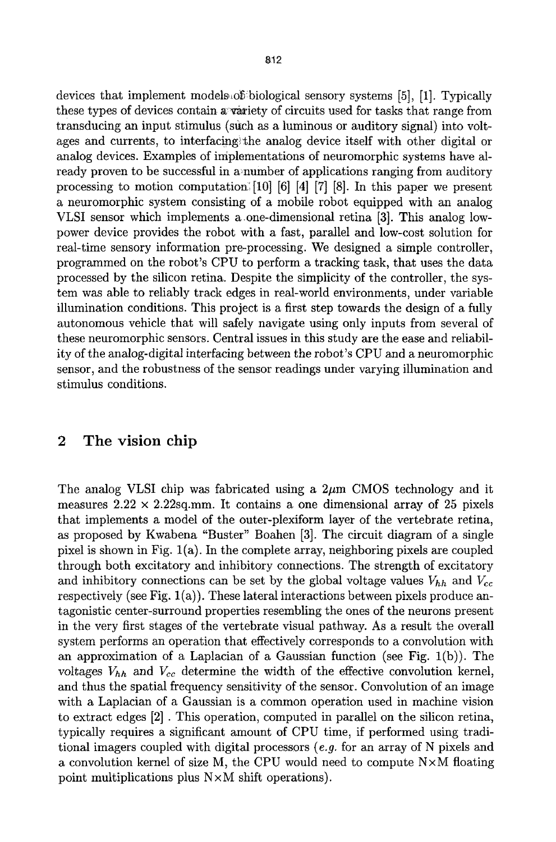devices that implement models of biological sensory systems [5], [1]. Typically these types of devices contain a variety of circuits used for tasks that range from transducing an input stimulus (such as a luminous or auditory signal) into voltages and currents, to interfacingithe analog device itself with other digital or analog devices. Examples of implementations of neuromorphic systems have already proven to be successful in a~number of applications ranging from auditory processing to motion computation:  $[10]$  [6] [4] [7] [8]. In this paper we present a neuromorphic system consisting of a mobile robot equipped with an analog VLSI sensor which implements aone-dimensional retina [3]. This analog lowpower device provides the robot with a fast, parallel and low-cost solution for real-time sensory information pre-processing. We designed a simple controller, programmed on the robot's CPU to perform a tracking task, that uses the data processed by the silicon retina. Despite the simplicity of the controller, the system was able to reliably track edges in real-world environments, under variable illumination conditions. This project is a first step towards the design of a fully autonomous vehicle that will safely navigate using only inputs from several of these neuromorphic sensors. Central issues in this study are the ease and reliability of the analog-digital interfacing between the robot's CPU and a neuromorphic sensor, and the robustness of the sensor readings under varying illumination and stimulus conditions.

## 2 The vision chip

The analog VLSI chip was fabricated using a  $2\mu$ m CMOS technology and it measures  $2.22 \times 2.22$ sq.mm. It contains a one dimensional array of 25 pixels that implements a model of the outer-plexiform layer of the vertebrate retina, as proposed by Kwabena "Buster" Boahen [3]. The circuit diagram of a single pixel is shown in Fig.  $1(a)$ . In the complete array, neighboring pixels are coupled through both excitatory and inhibitory connections. The strength of excitatory and inhibitory connections can be set by the global voltage values  $V_{hh}$  and  $V_{cc}$ respectively (see Fig.  $1(a)$ ). These lateral interactions between pixels produce antagonistic center-surround properties resembling the ones of the neurons present in the very first stages of the vertebrate visual pathway. As a result the overall system performs an operation that effectively corresponds to a convolution with an approximation of a Laplacian of a Gaussian function (see Fig.  $1(b)$ ). The voltages  $V_{hh}$  and  $V_{cc}$  determine the width of the effective convolution kernel, and thus the spatial frequency sensitivity of the sensor. Convolution of an image with a Laplacian of a Gaussian is a common operation used in machine vision to extract edges [2] . This operation, computed in parallel on the silicon retina, typically requires a significant amount of CPU time, if performed using traditional imagers coupled with digital processors *(e.g.* for an array of N pixels and a convolution kernel of size M, the CPU would need to compute  $N \times M$  floating point multiplications plus NxM shift operations).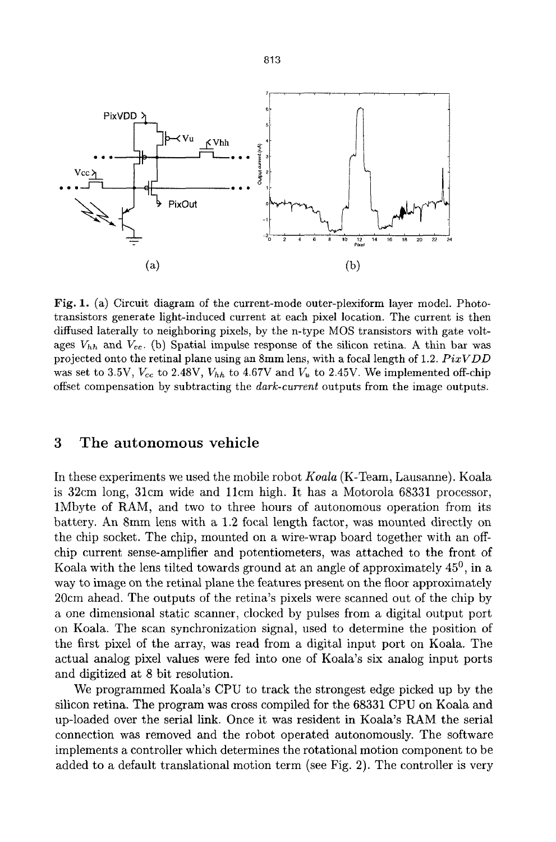

Fig. 1. (a) Circuit diagram of the current-mode outer-plexiform layer model. Phototransistors generate light-induced current at each pixel location. The current is then diffused laterally to neighboring pixels, by the n-type MOS transistors with gate voltages  $V_{hh}$  and  $V_{cc}$ . (b) Spatial impulse response of the silicon retina. A thin bar was projected onto the retinal plane using an 8ram lens, with a focal length of 1.2. *PixVDD*  was set to 3.5V,  $V_{cc}$  to 2.48V,  $V_{hh}$  to 4.67V and  $V_u$  to 2.45V. We implemented off-chip offset compensation by subtracting the *dark-current* outputs from the image outputs.

#### **3 The autonomous vehicle**

In these experiments we used the mobile robot *Koala* (K-Team, Lausanne). Koala is 32cm long, 31cm wide and 11cm high. It has a Motorola 68331 processor, 1Mbyte of RAM, and two to three hours of autonomous operation from its battery. An 8mm lens with a 1.2 focal length factor, was mounted directly on the chip socket. The chip, mounted on a wire-wrap board together with an offchip current sense-amplifier and potentiometers, was attached to the front of Koala with the lens tilted towards ground at an angle of approximately  $45^{\circ}$ , in a way to image on the retinal plane the features present on the floor approximately 20cm ahead. The outputs of the retina's pixels were scanned out of the chip by a one dimensional static scanner, clocked by pulses from a digital output port on Koala. The scan synchronization signal, used to determine the position of the first pixel of the array, was read from a digital input port on Koala. The actual analog pixel values were fed into one of Koala's six analog input ports and digitized at 8 bit resolution.

We programmed Koala's CPU to track the strongest edge picked up by the silicon retina. The program was cross compiled for the 68331 CPU on Koala and up-loaded over the serial link. Once it was resident in Koala's RAM the serial connection was removed and the robot operated autonomously. The software implements a controller which determines the rotational motion component to be added to a default translational motion term (see Fig. 2). The controller is very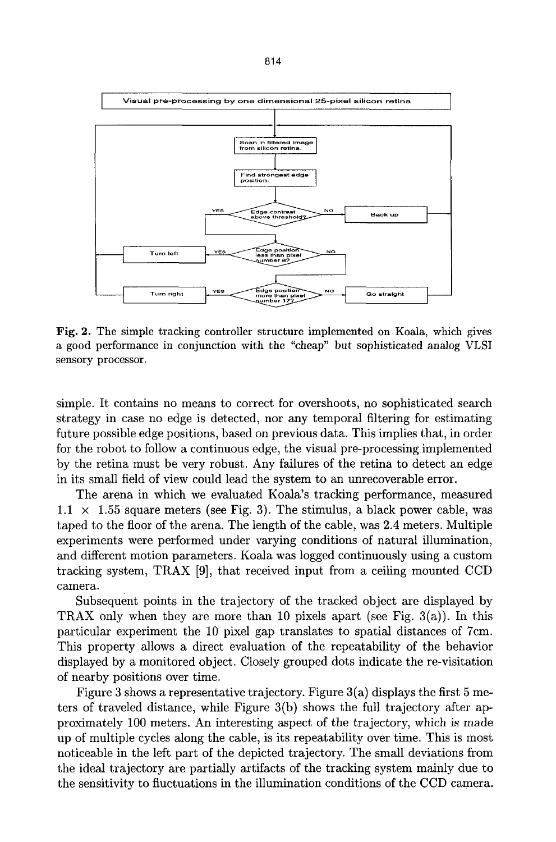

Fig. 2. The simple tracking controller structure implemented on Koala, which gives a good performance in conjunction with the "cheap" but sophisticated analog VLSI sensory processor.

simple. It contains no means to correct for overshoots, no sophisticated search strategy in case no edge is detected, nor any temporal filtering for estimating future possible edge positions, based on previous data. This implies that, in order for the robot to follow a continuous edge, the visual pre-processing implemented by the retina must be very robust. Any failures of the retina to detect an edge in its small field of view could lead the system to an unrecoverable error.

The arena in which we evaluated Koala's tracking performance, measured  $1.1 \times 1.55$  square meters (see Fig. 3). The stimulus, a black power cable, was taped to the floor of the arena. The length of the cable, was 2.4 meters. Multiple experiments were performed under varying conditions of natural illumination, and different motion parameters. Koala was logged continuously using a custom tracking system, TRAX [9], that received input from a ceiling mounted CCD camera.

Subsequent points in the trajectory of the tracked object are displayed by TRAX only when they are more than 10 pixels apart (see Fig.  $3(a)$ ). In this particular experiment the 10 pixel gap translates to spatial distances of 7cm. This property allows a direct evaluation of the repeatability of the behavior displayed by a monitored object. Closely grouped dots indicate the re-visitation of nearby positions over time.

Figure 3 shows a representative trajectory. Figure 3(a) displays the first 5 meters of traveled distance, while Figure 3(b) shows the full trajectory after approximately 100 meters. An interesting aspect of the trajectory, which is made up of multiple cycles along the cable, is its repeatability over time. This is most noticeable in the left part of the depicted trajectory. The small deviations from the ideal trajectory are partially artifacts of the tracking system mainly due to the sensitivity to fluctuations in the illumination conditions of the CCD camera.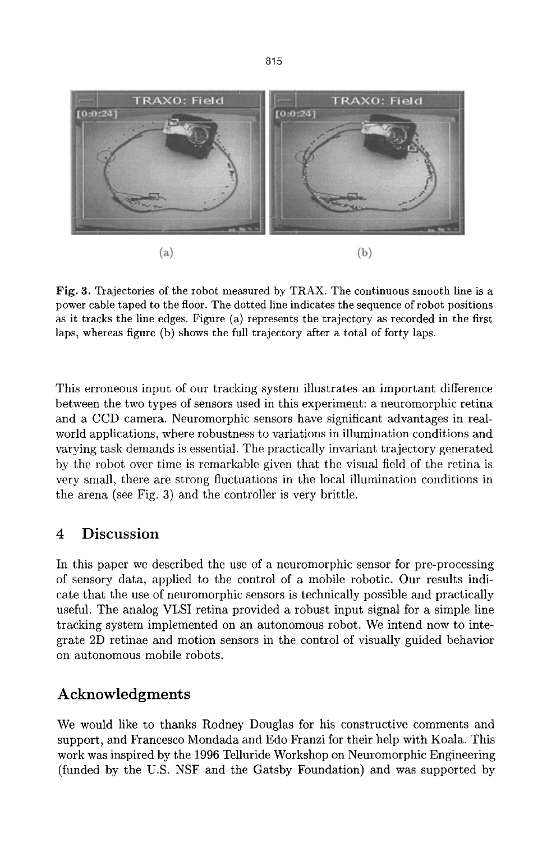

Fig. 3. Trajectories of the robot measured by TRAX. The continuous smooth line is a power cable taped to the floor. The dotted line indicates the sequence of robot positions as it tracks the line edges. Figure (a) represents the trajectory as recorded in the first laps, whereas figure (b) shows the full trajectory after a total of forty laps.

This erroneous input of our tracking system illustrates an important difference between the two types of sensors used in this experiment: a neuromorphic retina and a CCD camera. Neuromorphic sensors have significant advantages in realworld applications, where robustness to variations in illumination conditions and varying task demands is essential. The practically invariant trajectory generated by the robot over time is remarkable given that the visual field of the retina is very small, there are strong fluctuations in the local illumination conditions in the arena (see Fig. 3) and the controller is very brittle.

# **4 Discussion**

In this paper we described the use of a neuromorphic sensor for pre-processing of sensory data, applied to the control of a mobile robotic. Our results indicate that the use of neuromorphic sensors is technically possible and practically useful. The analog VLSI retina provided a robust input signal for a simple line tracking system implemented on an autonomous robot. We intend now to integrate 2D retinae and motion sensors in the control of visually guided behavior on autonomous mobile robots.

# **Acknowledgments**

We would like to thanks Rodney Douglas for his constructive comments and support, and Prancesco Mondada and Edo Franzi for their help with Koala. This work was inspired by the 1996 Telluride Workshop on Neuromorphic Engineering (funded by the U.S. NSF and the Gatsby Foundation) and was supported by